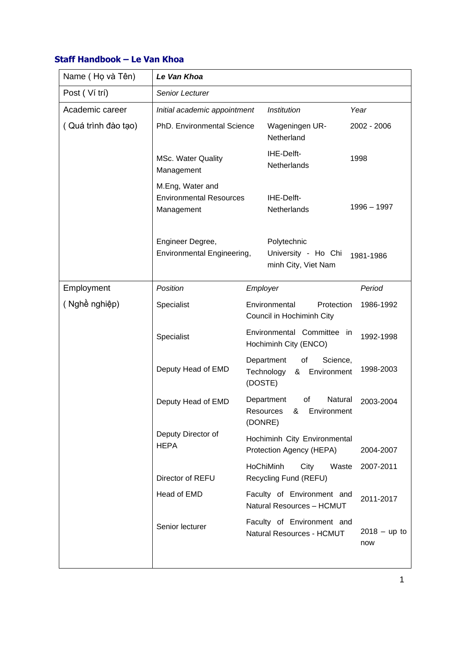## **Staff Handbook – Le Van Khoa**

| Name (Họ và Tên)    | Le Van Khoa                                                      |         |                                                                        |                       |  |
|---------------------|------------------------------------------------------------------|---------|------------------------------------------------------------------------|-----------------------|--|
| Post (Ví trí)       | Senior Lecturer                                                  |         |                                                                        |                       |  |
| Academic career     | Initial academic appointment                                     |         | Institution                                                            | Year                  |  |
| (Quá trình đào tạo) | PhD. Environmental Science                                       |         | Wageningen UR-<br>Netherland                                           | 2002 - 2006           |  |
|                     | <b>MSc. Water Quality</b><br>Management                          |         | IHE-Delft-<br>Netherlands                                              | 1998                  |  |
|                     | M.Eng, Water and<br><b>Environmental Resources</b><br>Management |         | IHE-Delft-<br>Netherlands                                              | 1996 - 1997           |  |
|                     | Engineer Degree,<br>Environmental Engineering,                   |         | Polytechnic<br>University - Ho Chi<br>1981-1986<br>minh City, Viet Nam |                       |  |
| Employment          | Position                                                         |         | Employer                                                               | Period                |  |
| (Nghề nghiệp)       | Specialist                                                       |         | Environmental<br>Protection<br>1986-1992<br>Council in Hochiminh City  |                       |  |
|                     | Specialist                                                       |         | Environmental Committee<br>in<br>Hochiminh City (ENCO)                 | 1992-1998             |  |
|                     | Deputy Head of EMD                                               | (DOSTE) | Department<br>οf<br>Science,<br>Technology<br>Environment<br>&         | 1998-2003             |  |
|                     | Deputy Head of EMD                                               |         | Department<br>Natural<br>of<br>Resources & Environment<br>(DONRE)      | 2003-2004             |  |
|                     | Deputy Director of<br><b>HEPA</b>                                |         | Hochiminh City Environmental<br>Protection Agency (HEPA)               | 2004-2007             |  |
|                     | Director of REFU                                                 |         | HoChiMinh<br>City<br>Waste<br>Recycling Fund (REFU)                    | 2007-2011             |  |
|                     | Head of EMD                                                      |         | Faculty of Environment and<br>Natural Resources - HCMUT                | 2011-2017             |  |
|                     | Senior lecturer                                                  |         | Faculty of Environment and<br>Natural Resources - HCMUT                | $2018 - up to$<br>now |  |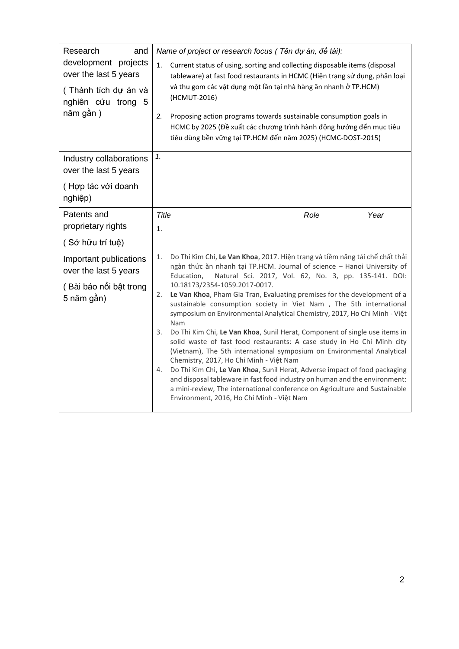| Research<br>and                                                                                         | Name of project or research focus (Tên dự án, đề tài):                                                                                                                                                                                                                                                                                                                                                                                                                                                                                                                                                                                                                                                                                                                                                                                                     |      |  |  |  |
|---------------------------------------------------------------------------------------------------------|------------------------------------------------------------------------------------------------------------------------------------------------------------------------------------------------------------------------------------------------------------------------------------------------------------------------------------------------------------------------------------------------------------------------------------------------------------------------------------------------------------------------------------------------------------------------------------------------------------------------------------------------------------------------------------------------------------------------------------------------------------------------------------------------------------------------------------------------------------|------|--|--|--|
| development projects<br>over the last 5 years<br>(Thành tích dự án và<br>nghiên cứu trong 5<br>năm gần) | 1.<br>Current status of using, sorting and collecting disposable items (disposal<br>tableware) at fast food restaurants in HCMC (Hiện trạng sử dụng, phân loại<br>và thu gom các vật dụng một lần tại nhà hàng ăn nhanh ở TP.HCM)<br>(HCMUT-2016)                                                                                                                                                                                                                                                                                                                                                                                                                                                                                                                                                                                                          |      |  |  |  |
|                                                                                                         | 2.<br>Proposing action programs towards sustainable consumption goals in<br>HCMC by 2025 (Đề xuất các chương trình hành động hướng đến mục tiêu<br>tiêu dùng bền vững tại TP.HCM đến năm 2025) (HCMC-DOST-2015)                                                                                                                                                                                                                                                                                                                                                                                                                                                                                                                                                                                                                                            |      |  |  |  |
| Industry collaborations<br>over the last 5 years                                                        |                                                                                                                                                                                                                                                                                                                                                                                                                                                                                                                                                                                                                                                                                                                                                                                                                                                            |      |  |  |  |
| (Hợp tác với doanh<br>nghiệp)                                                                           |                                                                                                                                                                                                                                                                                                                                                                                                                                                                                                                                                                                                                                                                                                                                                                                                                                                            |      |  |  |  |
| Patents and                                                                                             | Title<br>Role                                                                                                                                                                                                                                                                                                                                                                                                                                                                                                                                                                                                                                                                                                                                                                                                                                              | Year |  |  |  |
| proprietary rights                                                                                      | 1.                                                                                                                                                                                                                                                                                                                                                                                                                                                                                                                                                                                                                                                                                                                                                                                                                                                         |      |  |  |  |
| (Sở hữu trí tuệ)                                                                                        |                                                                                                                                                                                                                                                                                                                                                                                                                                                                                                                                                                                                                                                                                                                                                                                                                                                            |      |  |  |  |
| Important publications<br>over the last 5 years                                                         | Do Thi Kim Chi, Le Van Khoa, 2017. Hiện trạng và tiềm năng tái chế chất thải<br>1.<br>ngàn thức ăn nhanh tại TP.HCM. Journal of science - Hanoi University of<br>Natural Sci. 2017, Vol. 62, No. 3, pp. 135-141. DOI:<br>Education,                                                                                                                                                                                                                                                                                                                                                                                                                                                                                                                                                                                                                        |      |  |  |  |
| (Bài báo nổi bật trong<br>5 năm gần)                                                                    | 10.18173/2354-1059.2017-0017.<br>Le Van Khoa, Pham Gia Tran, Evaluating premises for the development of a<br>2.<br>sustainable consumption society in Viet Nam , The 5th international<br>symposium on Environmental Analytical Chemistry, 2017, Ho Chi Minh - Việt<br>Nam<br>Do Thi Kim Chi, Le Van Khoa, Sunil Herat, Component of single use items in<br>3.<br>solid waste of fast food restaurants: A case study in Ho Chi Minh city<br>(Vietnam), The 5th international symposium on Environmental Analytical<br>Chemistry, 2017, Ho Chi Minh - Việt Nam<br>Do Thi Kim Chi, Le Van Khoa, Sunil Herat, Adverse impact of food packaging<br>4.<br>and disposal tableware in fast food industry on human and the environment:<br>a mini-review, The international conference on Agriculture and Sustainable<br>Environment, 2016, Ho Chi Minh - Việt Nam |      |  |  |  |